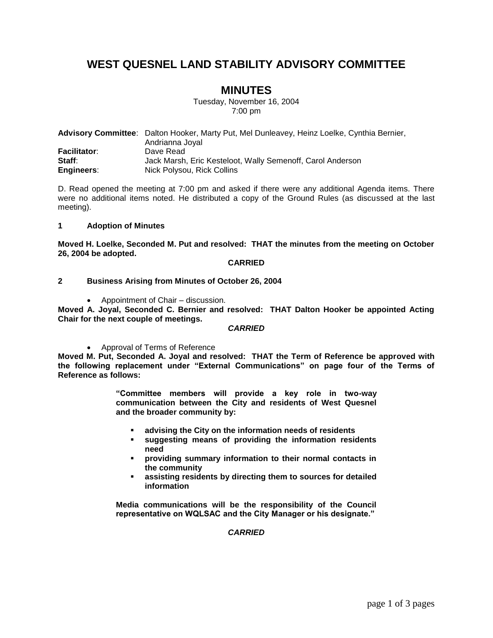# **WEST QUESNEL LAND STABILITY ADVISORY COMMITTEE**

## **MINUTES**

Tuesday, November 16, 2004 7:00 pm

|                     | <b>Advisory Committee:</b> Dalton Hooker, Marty Put, Mel Dunleavey, Heinz Loelke, Cynthia Bernier, |
|---------------------|----------------------------------------------------------------------------------------------------|
|                     | Andrianna Joyal                                                                                    |
| <b>Facilitator:</b> | Dave Read                                                                                          |
| Staff:              | Jack Marsh, Eric Kesteloot, Wally Semenoff, Carol Anderson                                         |
| Engineers:          | Nick Polysou, Rick Collins                                                                         |

D. Read opened the meeting at 7:00 pm and asked if there were any additional Agenda items. There were no additional items noted. He distributed a copy of the Ground Rules (as discussed at the last meeting).

#### **1 Adoption of Minutes**

**Moved H. Loelke, Seconded M. Put and resolved: THAT the minutes from the meeting on October 26, 2004 be adopted.**

#### **CARRIED**

**2 Business Arising from Minutes of October 26, 2004**

Appointment of Chair – discussion.

**Moved A. Joyal, Seconded C. Bernier and resolved: THAT Dalton Hooker be appointed Acting Chair for the next couple of meetings.**

### *CARRIED*

Approval of Terms of Reference

**Moved M. Put, Seconded A. Joyal and resolved: THAT the Term of Reference be approved with the following replacement under "External Communications" on page four of the Terms of Reference as follows:**

> **"Committee members will provide a key role in two-way communication between the City and residents of West Quesnel and the broader community by:**

- **advising the City on the information needs of residents**
- **suggesting means of providing the information residents need**
- **providing summary information to their normal contacts in the community**
- **assisting residents by directing them to sources for detailed information**

**Media communications will be the responsibility of the Council representative on WQLSAC and the City Manager or his designate."**

### *CARRIED*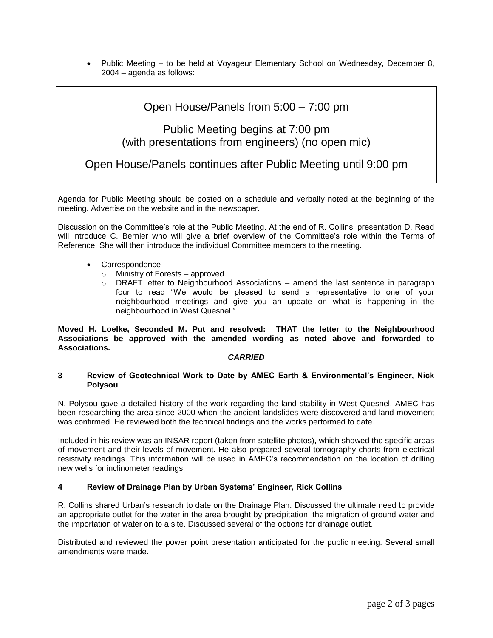• Public Meeting – to be held at Voyageur Elementary School on Wednesday, December 8, 2004 – agenda as follows:

## Open House/Panels from 5:00 – 7:00 pm

# Public Meeting begins at 7:00 pm (with presentations from engineers) (no open mic)

Open House/Panels continues after Public Meeting until 9:00 pm

Agenda for Public Meeting should be posted on a schedule and verbally noted at the beginning of the meeting. Advertise on the website and in the newspaper.

Discussion on the Committee's role at the Public Meeting. At the end of R. Collins' presentation D. Read will introduce C. Bernier who will give a brief overview of the Committee's role within the Terms of Reference. She will then introduce the individual Committee members to the meeting.

- Correspondence
	- o Ministry of Forests approved.
	- o DRAFT letter to Neighbourhood Associations amend the last sentence in paragraph four to read "We would be pleased to send a representative to one of your neighbourhood meetings and give you an update on what is happening in the neighbourhood in West Quesnel."

**Moved H. Loelke, Seconded M. Put and resolved: THAT the letter to the Neighbourhood Associations be approved with the amended wording as noted above and forwarded to Associations.**

#### *CARRIED*

#### **3 Review of Geotechnical Work to Date by AMEC Earth & Environmental's Engineer, Nick Polysou**

N. Polysou gave a detailed history of the work regarding the land stability in West Quesnel. AMEC has been researching the area since 2000 when the ancient landslides were discovered and land movement was confirmed. He reviewed both the technical findings and the works performed to date.

Included in his review was an INSAR report (taken from satellite photos), which showed the specific areas of movement and their levels of movement. He also prepared several tomography charts from electrical resistivity readings. This information will be used in AMEC's recommendation on the location of drilling new wells for inclinometer readings.

#### **4 Review of Drainage Plan by Urban Systems' Engineer, Rick Collins**

R. Collins shared Urban's research to date on the Drainage Plan. Discussed the ultimate need to provide an appropriate outlet for the water in the area brought by precipitation, the migration of ground water and the importation of water on to a site. Discussed several of the options for drainage outlet.

Distributed and reviewed the power point presentation anticipated for the public meeting. Several small amendments were made.